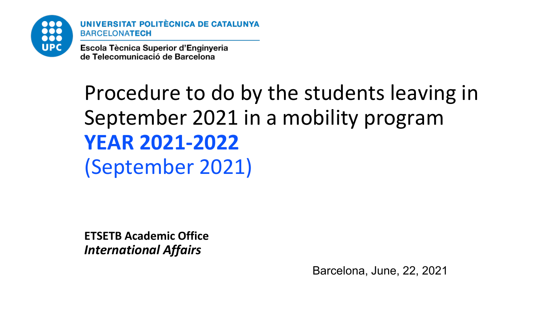

UNIVERSITAT POLITÈCNICA DE CATALUNYA **BARCELONATECH** 

Escola Tècnica Superior d'Enginyeria de Telecomunicació de Barcelona

### Procedure to do by the students leaving in September 2021 in a mobility program **YEAR 2021-2022** (September 2021)

**ETSETB Academic Office** *International Affairs*

Barcelona, June, 22, 2021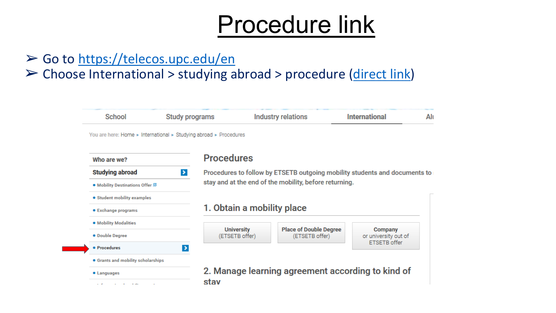### Procedure link

#### $\triangleright$  Go to <https://telecos.upc.edu/en>

#### ➢ Choose International > studying abroad > procedure ([direct](https://telecos.upc.edu/en/international/studying-abroad/procediment) link)

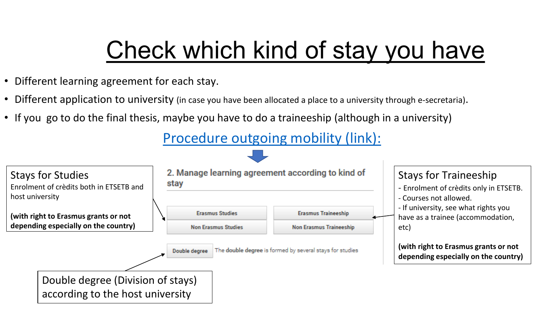## Check which kind of stay you have

- Different learning agreement for each stay.
- Different application to university (in case you have been allocated a place to a university through e-secretaria).
- If you go to do the final thesis, maybe you have to do a traineeship (although in a university)

[Procedure](https://telecos.upc.edu/en/international/studying-abroad/procediment) outgoing mobility (link):

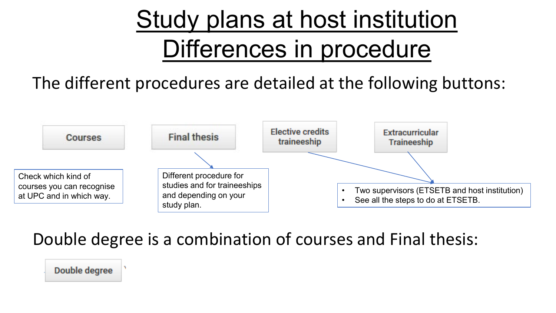# Study plans at host institution Differences in procedure

### The different procedures are detailed at the following buttons:



### Double degree is a combination of courses and Final thesis:

Double degree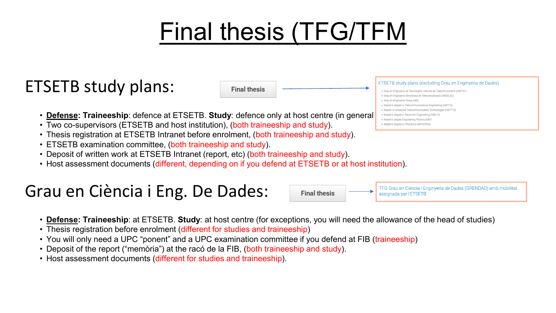# Final thesis (TFG/TFM

### ETSETB study plans:



TFG Grau en Ciència i Enginyeria de Dades (GRENDAD) amb mobilitat

assignada per l'ETSETB

- **Defense: Traineeship**: defence at ETSETB. **Study**: defence only at host centre (in general[\)](https://telecos.upc.edu/en/international/studying-abroad/procediment/final-thesis-in-mobility)
- Two co-supervisors (ETSETB and host institution), (both traineeship and study).
- Thesis registration at ETSETB Intranet before enrolment, (both traineeship and study).
- ETSETB examination committee, (both traineeship and study).
- Deposit of written work at ETSETB Intranet (report, etc) (both traineeship and study).
- Host assessment documents (different, depending on if you defend at ETSETB or at host institution).

### Grau en Ciència i Eng. De Dades:



**Final thesis** 

- Thesis registration before enrolment (different for studies and traineeship)
- You will only need a UPC "ponent" and a UPC examination committee if you defend at FIB (traineeship)
- Deposit of the report ("memòria") at the racó de la FIB, (both traineeship and study).
- Host assessment documents (different for studies and traineeship).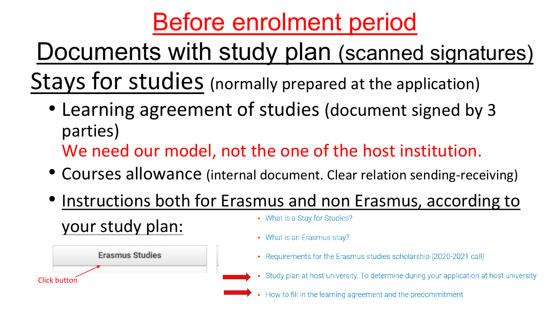# Before enrolment period

Stays for studies (normally prepared at the application) Documents with study plan (scanned signatures)

- Learning agreement of studies (document signed by 3 parties) We need our model, not the one of the host institution.
- Courses allowance (internal document. Clear relation sending-receiving)
- Instructions both for Erasmus and non Erasmus, according to • What is a Stay for Studies? [your study plan:](https://telecos.upc.edu/en/international/studying-abroad/procediment/erasmus-studies)

Click button

**Erasmus Studies** 

- What is an Erasmus stay?
- Requirements for the Erasmus studies scholarship (2020-2021 call)
- Study plan at host university. To determine during your application at host university
- How to fill in the learning agreement and the precommitment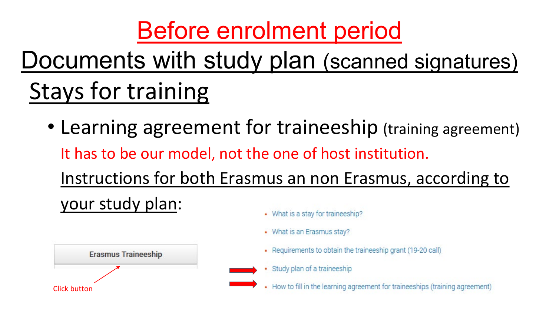# Before enrolment period

### Stays for training Documents with study plan (scanned signatures)

• Learning agreement for traineeship (training agreement) It has to be our model, not the one of host institution. Instructions for both Erasmus an non Erasmus, according to your study plan: • What is a stay for traineeship?



- 
- What is an Erasmus stay?
- Requirements to obtain the traineeship grant (19-20 call)
- Study plan of a traineeship

• How to fill in the learning agreement for traineeships (training agreement)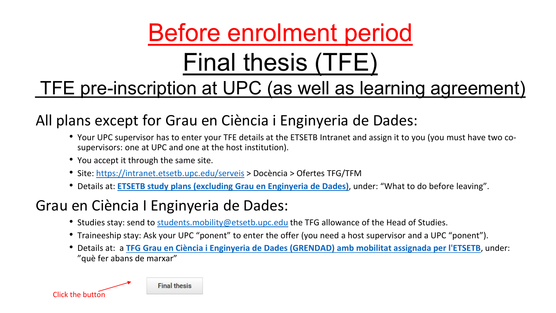### Before enrolment period Final thesis (TFE)

### TFE pre-inscription at UPC (as well as learning agreement)

#### All plans except for Grau en Ciència i Enginyeria de Dades:

- Your UPC supervisor has to enter your TFE details at the ETSETB Intranet and assign it to you (you must have two cosupervisors: one at UPC and one at the host institution).
- You accept it through the same site.
- Site: <https://intranet.etsetb.upc.edu/serveis> > Docència > Ofertes TFG/TFM
- Details at: **ETSETB study plans (excluding [Grau en Enginyeria](https://telecos.upc.edu/en/international/studying-abroad/procediment/final-thesis) de Dades)**, under: "What to do before leaving".

#### Grau en Ciència I Enginyeria de Dades:

- Studies stay: send to [students.mobility@etsetb.upc.edu](mailto:students.mobility@etsetb.upc.edu) the TFG allowance of the Head of Studies.
- Traineeship stay: Ask your UPC "ponent" to enter the offer (you need a host supervisor and a UPC "ponent").
- Details at: a **TFG Grau en Ciència i Enginyeria de Dades [\(GRENDAD\) amb](https://telecos.upc.edu/ca/international/studying-abroad/procediment/tfg-grau-en-enginyeria-de-dades-mobilitat) mobilitat assignada per l'ETSETB**, under: "què fer abans de marxar"

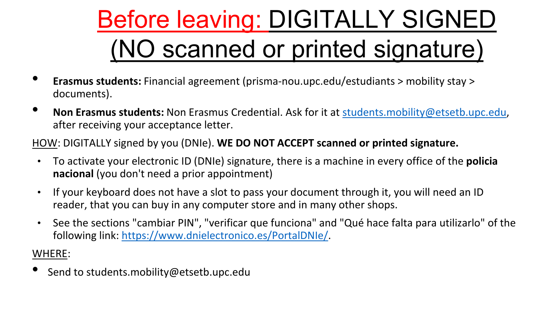# Before leaving: DIGITALLY SIGNED (NO scanned or printed signature)

- **Erasmus students:** Financial agreement (prisma-nou.upc.edu/estudiants > mobility stay > documents).
- **Non Erasmus students:** Non Erasmus Credential. Ask for it at [students.mobility@etsetb.upc.edu,](mailto:students.mobility@etsetb.upc.edu) after receiving your acceptance letter.

HOW: DIGITALLY signed by you (DNIe). **WE DO NOT ACCEPT scanned or printed signature.**

- To activate your electronic ID (DNIe) signature, there is a machine in every office of the **policia nacional** (you don't need a prior appointment)
- If your keyboard does not have a slot to pass your document through it, you will need an ID reader, that you can buy in any computer store and in many other shops.
- See the sections "cambiar PIN", "verificar que funciona" and "Qué hace falta para utilizarlo" of the following link: [https://www.dnielectronico.es/PortalDNIe/.](https://www.dnielectronico.es/PortalDNIe/)

WHERE:

• Send to students.mobility@etsetb.upc.edu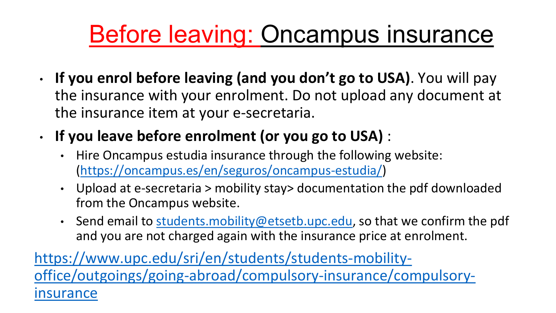## Before leaving: Oncampus insurance

- **If you enrol before leaving (and you don't go to USA)**. You will pay the insurance with your enrolment. Do not upload any document at the insurance item at your e-secretaria.
- **If you leave before enrolment (or you go to USA)** :
	- Hire Oncampus estudia insurance through the following website: [\(https://oncampus.es/en/seguros/oncampus-estudia/\)](https://oncampus.es/en/seguros/oncampus-estudia/)
	- Upload at e-secretaria > mobility stay> documentation the pdf downloaded from the Oncampus website.
	- Send email to [students.mobility@etsetb.upc.edu,](mailto:students.mobility@etsetb.upc.edu) so that we confirm the pdf and you are not charged again with the insurance price at enrolment.

https://www.upc.edu/sri/en/students/students-mobility[office/outgoings/going-abroad/compulsory-insurance/compulsory](https://www.upc.edu/sri/en/students/students-mobility-office/outgoings/going-abroad/compulsory-insurance/compulsory-insurance)insurance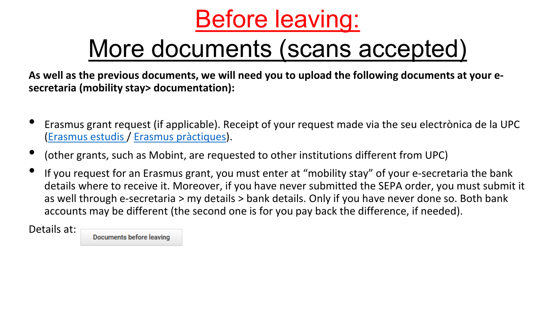

### More documents (scans accepted)

**As well as the previous documents, we will need you to upload the following documents at your esecretaria (mobility stay> documentation):**

- Erasmus grant request (if applicable). Receipt of your request made via the seu electrònica de la UPC ([Erasmus estudis](https://seuelectronica.upc.edu/ca/Tramits/Sol-licitud-Beca-ERASMUS_estudis) / [Erasmus pràctiques\)](https://seuelectronica.upc.edu/ca/Tramits/Sol-licitud-Beca-ERASMUS_practiques).
- (other grants, such as Mobint, are requested to other institutions different from UPC)
- If you request for an Erasmus grant, you must enter at "mobility stay" of your e-secretaria the bank details where to receive it. Moreover, if you have never submitted the SEPA order, you must submit it as well through e-secretaria > my details > bank details. Only if you have never done so. Both bank accounts may be different (the second one is for you pay back the difference, if needed).

Details at:

**Documents before leaving**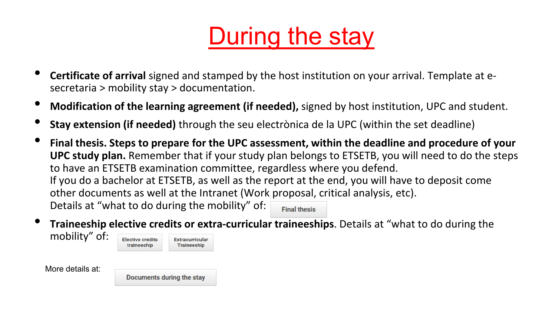## During the stay

- **Certificate of arrival** signed and stamped by the host institution on your arrival. Template at esecretaria > mobility stay > documentation.
- **Modification of the learning agreement (if needed),** signed by host institution, UPC and student.
- **Stay extension (if needed)** through the seu electrònica de la UPC (within the set deadline)
- **Final thesis. Steps to prepare for the UPC assessment, within the deadline and procedure of your UPC study plan.** Remember that if your study plan belongs to ETSETB, you will need to do the steps to have an ETSETB examination committee, regardless where you defend. If you do a bachelor at ETSETB, as well as the report at the end, you will have to deposit come other documents as well at the Intranet (Work proposal, critical analysis, etc). Details at "what to do during the mobility" of: **Final thesis**
- **Traineeship elective credits or extra-curricular traineeships**. Details at "what to do during the

More details at:

mobility" of:

Documents during the stay

**Extracurricular Traineeship** 

**Elective credits** 

traineeship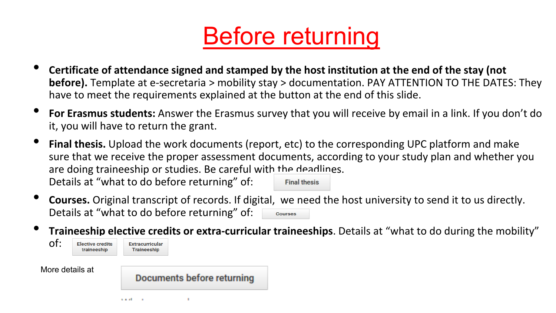

- **Certificate of attendance signed and stamped by the host institution at the end of the stay (not before).** Template at e-secretaria > mobility stay > documentation. PAY ATTENTION TO THE DATES: They have to meet the requirements explained at the button at the end of this slide.
- **For Erasmus students:** Answer the Erasmus survey that you will receive by email in a link. If you don't do it, you will have to return the grant.
- **Final thesis.** Upload the work documents (report, etc) to the corresponding UPC platform and make sure that we receive the proper assessment documents, according to your study plan and whether you are doing traineeship or studies. Be careful wit[h the deadline](https://telecos.upc.edu/en/international/studying-abroad/procediment/final-thesis-in-mobility)s. Details at "what to do before returning" of: **Final thesis**
- **Courses.** Original transcript of records. If digital, we need the host university to send it to us directly. Details at "what to do before returning" of: Courses
- **Trai[neeship elective credi](https://telecos.upc.edu/en/international/studying-abroad/procediment/elective-credits-traineeship)ts or extra-curricular traineeships**. Details at "what to do during the mobility"

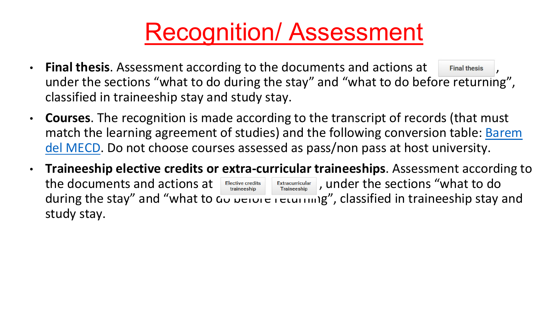### Recognition/ Assessment

- **Final thesis.** Assessment according to the documents and actions at Final thesis under the sections "what to do during the stay" and "what to do before returning", classified in traineeship stay and study stay.
- **Courses**. The recognition is made according to the transcript of records (that must match the learning agreement of studies) and the following conversion table: Barem [del MECD. Do not choose courses assessed as pass/non pass at host university.](http://www.educacionyfp.gob.es/dam/jcr:c49dc8ae-8f47-47e5-8ec7-563e98dae077/anexoii-equivalencias.pdf)
- **Traineeship elective credits or extra-curricular traineeships**. Assessment according to the documents and actions at  $\left| \begin{array}{cc} E^\text{Hective\thinspace creedits} & \text{Extracurically} \ \hline \end{array} \right|$ , under the sections "what to do during the stay" and "what to do before returning", classified in traineeship stay and study stay.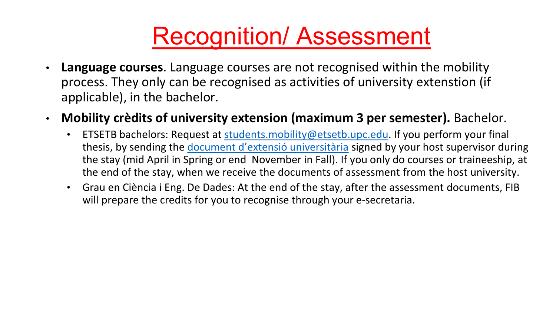### Recognition/ Assessment

- **Language courses**. Language courses are not recognised within the mobility process. They only can be recognised as activities of university extenstion (if applicable), in the bachelor.
- **Mobility crèdits of university extension (maximum 3 per semester).** Bachelor.
	- ETSETB bachelors: Request at [students.mobility@etsetb.upc.edu](mailto:students.mobility@etsetb.upc.edu). If you perform your final thesis, by sending the [document d'extensió](https://telecos.upc.edu/ca/international/studying-abroad/procediment/documents-durant-lestada) universitària signed by your host supervisor during the stay (mid April in Spring or end November in Fall). If you only do courses or traineeship, at the end of the stay, when we receive the documents of assessment from the host university.
	- Grau en Ciència i Eng. De Dades: At the end of the stay, after the assessment documents, FIB will prepare the credits for you to recognise through your e-secretaria.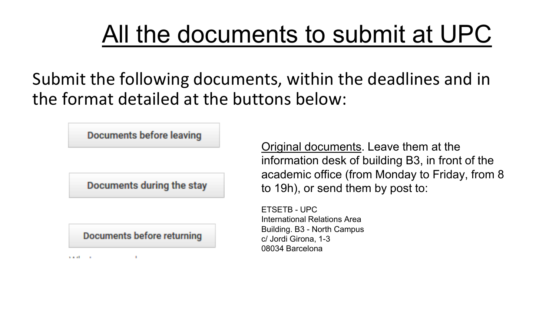### All the documents to submit at UPC

Submit the following documents, within the deadlines and in the format detailed at the buttons below:

Documents before leaving

Documents during the stay

Documents before returning

 $\mathbf{u}$ 

manual and

Original documents. Leave them at the information desk of building B3, in front of the academic office (from Monday to Friday, from 8 to 19h), or send them by post to:

ETSETB - UPC International Relations Area Building. B3 - North Campus c/ Jordi Girona, 1-3 08034 Barcelona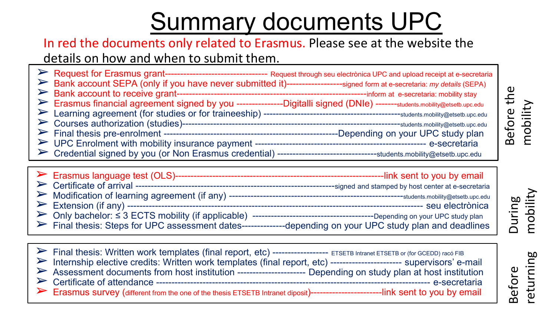## Summary documents UPC

#### In red the documents only related to Erasmus. Please see at the website the details on how and when to submit them.

| Bank account SEPA (only if you have never submitted it)-----------------signed form at e-secretaria: my details (SEPA)<br>Erasmus financial agreement signed by you ----------------Digitalli signed (DNIe) -------students.mobility@etsetb.upc.edu | -Depending on your UPC study plan |
|-----------------------------------------------------------------------------------------------------------------------------------------------------------------------------------------------------------------------------------------------------|-----------------------------------|
|                                                                                                                                                                                                                                                     |                                   |

➢ Certificate of arrival ----------------------------------------------------------------signed and stamped by host center at e-secretaria ➢ Modification of learning agreement (if any) --------------------------------------------------------students.mobility@etsetb.upc.edu ➢ Extension (if any) ----------------------------------------------------------------------------------------------- seu electrònica ➢ Only bachelor: ≤ 3 ECTS mobility (if applicable) ---------------------------------------Depending on your UPC study plan ➢ Final thesis: Steps for UPC assessment dates--------------depending on your UPC study plan and deadlines

➢ Final thesis: Written work templates (final report, etc) ------------------ ETSETB Intranet ETSETB or (for GCEDD) racó FIB Internship elective credits: Written work templates (final report, etc) ------------------------ supervisors' e-mail Assessment documents from host institution --------------------------- Depending on study plan at host institution ➢ Certificate of attendance ---------------------------------------------------------------------------------------- e-secretaria Erasmus survey (different from the one of the thesis ETSETB Intranet diposit)--------------------------link sent to you by email

During mobility

Before

eturning

Before the

Before the

mobility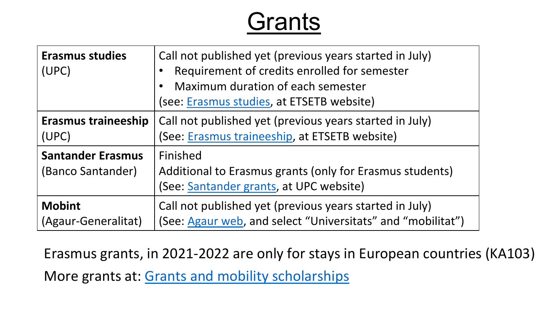### **Grants**

| <b>Erasmus studies</b><br>(UPC)               | Call not published yet (previous years started in July)<br>Requirement of credits enrolled for semester<br>Maximum duration of each semester<br>(see: Erasmus studies, at ETSETB website) |
|-----------------------------------------------|-------------------------------------------------------------------------------------------------------------------------------------------------------------------------------------------|
| <b>Erasmus traineeship</b>                    | Call not published yet (previous years started in July)                                                                                                                                   |
| (UPC)                                         | (See: Erasmus traineeship, at ETSETB website)                                                                                                                                             |
| <b>Santander Erasmus</b><br>(Banco Santander) | Finished<br>Additional to Erasmus grants (only for Erasmus students)<br>(See: Santander grants, at UPC website)                                                                           |
| <b>Mobint</b>                                 | Call not published yet (previous years started in July)                                                                                                                                   |
| (Agaur-Generalitat)                           | (See: Agaur web, and select "Universitats" and "mobilitat")                                                                                                                               |

Erasmus grants, in 2021-2022 are only for stays in European countries (KA103) More grants at: Grants and mobility [scholarships](https://telecos.upc.edu/en/international/studying-abroad/beques-i-ajuts-a-la-mobilitat-v2?set_language=en)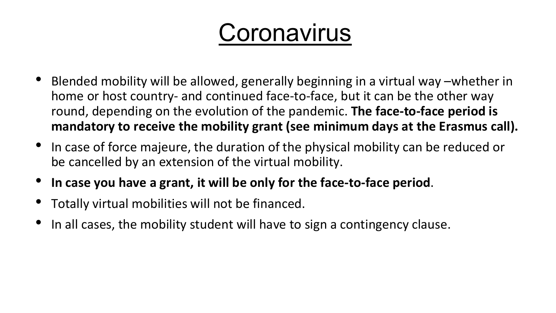## **Coronavirus**

- Blended mobility will be allowed, generally beginning in a virtual way –whether in home or host country- and continued face-to-face, but it can be the other way round, depending on the evolution of the pandemic. **The face-to-face period is mandatory to receive the mobility grant (see minimum days at the Erasmus call).**
- In case of force majeure, the duration of the physical mobility can be reduced or be cancelled by an extension of the virtual mobility.
- **In case you have a grant, it will be only for the face-to-face period**.
- Totally virtual mobilities will not be financed.
- In all cases, the mobility student will have to sign a contingency clause.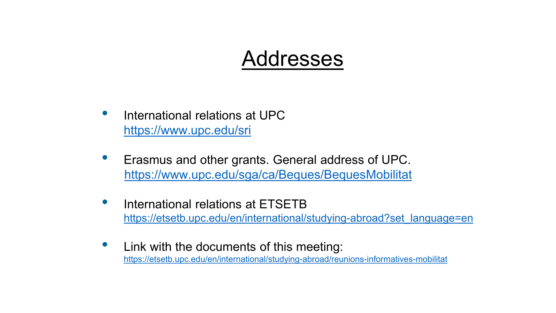### Addresses

- International relations at UPC <https://www.upc.edu/sri>
- Erasmus and other grants. General address of UPC. <https://www.upc.edu/sga/ca/Beques/BequesMobilitat>
- International relations at ETSETB [https://etsetb.upc.edu/en/international/studying-abroad?set\\_language=en](https://etsetb.upc.edu/en/international/studying-abroad?set_language=en)
- Link with the documents of this meeting: <https://etsetb.upc.edu/en/international/studying-abroad/reunions-informatives-mobilitat>